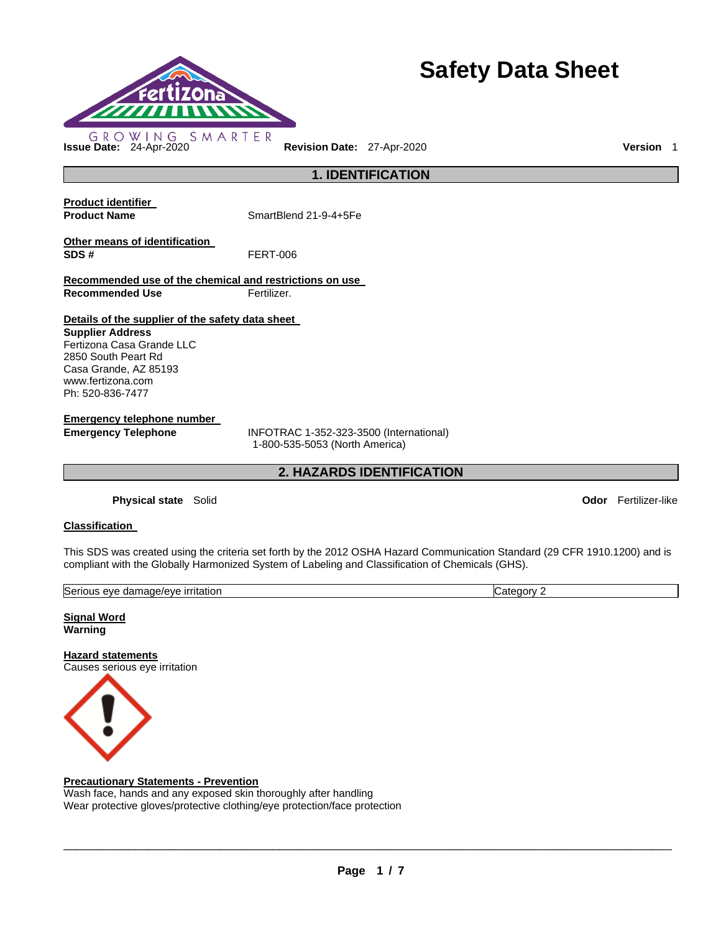

# **Safety Data Sheet**

**1. IDENTIFICATION** 

**Product identifier** 

**Product Name SmartBlend 21-9-4+5Fe** 

**Other means of identification SDS #** FERT-006

**Recommended use of the chemical and restrictions on use Recommended Use Fertilizer.** 

**Details of the supplier of the safety data sheet** 

**Supplier Address** Fertizona Casa Grande LLC 2850 South Peart Rd Casa Grande, AZ 85193 www.fertizona.com Ph: 520-836-7477

**Emergency telephone number** 

**Emergency Telephone** INFOTRAC 1-352-323-3500 (International) 1-800-535-5053 (North America)

**2. HAZARDS IDENTIFICATION** 

**Physical state** Solid **Odor** Fertilizer-like

## **Classification**

This SDS was created using the criteria set forth by the 2012 OSHA Hazard Communication Standard (29 CFR 1910.1200) and is compliant with the Globally Harmonized System of Labeling and Classification of Chemicals (GHS).

| Serious<br><b>irritation</b><br>nade/et<br>/eve<br>dam<br>eve<br>$\cdots$<br>. | <br>eaor∿<br>.ate |
|--------------------------------------------------------------------------------|-------------------|
|                                                                                |                   |

**Signal Word Warning** 

**Hazard statements** Causes serious eye irritation



## **Precautionary Statements - Prevention**

Wash face, hands and any exposed skin thoroughly after handling Wear protective gloves/protective clothing/eye protection/face protection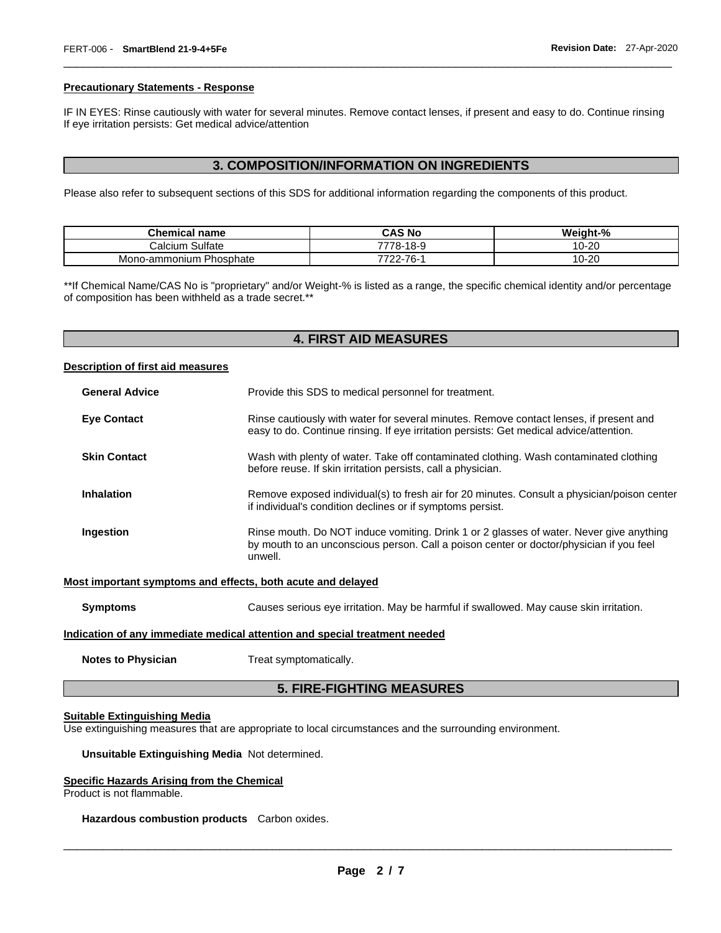#### **Precautionary Statements - Response**

IF IN EYES: Rinse cautiously with water for several minutes. Remove contact lenses, if present and easy to do. Continue rinsing If eye irritation persists: Get medical advice/attention

\_\_\_\_\_\_\_\_\_\_\_\_\_\_\_\_\_\_\_\_\_\_\_\_\_\_\_\_\_\_\_\_\_\_\_\_\_\_\_\_\_\_\_\_\_\_\_\_\_\_\_\_\_\_\_\_\_\_\_\_\_\_\_\_\_\_\_\_\_\_\_\_\_\_\_\_\_\_\_\_\_\_\_\_\_\_\_\_\_\_\_\_\_

## **3. COMPOSITION/INFORMATION ON INGREDIENTS**

Please also refer to subsequent sections of this SDS for additional information regarding the components of this product.

| <b>Chemical name</b>       | CAS No    | Weight-%  |
|----------------------------|-----------|-----------|
| Calcium Sulfate            | 7778-18-9 | $10 - 20$ |
| Phosphate<br>Mono-ammonium | 7722-76-1 | 10-20     |

\*\*If Chemical Name/CAS No is "proprietary" and/or Weight-% is listed as a range, the specific chemical identity and/or percentage of composition has been withheld as a trade secret.\*\*

## **4. FIRST AID MEASURES**

#### **Description of first aid measures**

| <b>General Advice</b> | Provide this SDS to medical personnel for treatment.                                                                                                                                          |
|-----------------------|-----------------------------------------------------------------------------------------------------------------------------------------------------------------------------------------------|
| <b>Eye Contact</b>    | Rinse cautiously with water for several minutes. Remove contact lenses, if present and<br>easy to do. Continue rinsing. If eye irritation persists: Get medical advice/attention.             |
| <b>Skin Contact</b>   | Wash with plenty of water. Take off contaminated clothing. Wash contaminated clothing<br>before reuse. If skin irritation persists, call a physician.                                         |
| Inhalation            | Remove exposed individual(s) to fresh air for 20 minutes. Consult a physician/poison center<br>if individual's condition declines or if symptoms persist.                                     |
| Ingestion             | Rinse mouth. Do NOT induce vomiting. Drink 1 or 2 glasses of water. Never give anything<br>by mouth to an unconscious person. Call a poison center or doctor/physician if you feel<br>unwell. |

## **Most important symptoms and effects, both acute and delayed**

**Symptoms** Causes serious eye irritation. May be harmful if swallowed. May cause skin irritation.

#### **Indication of any immediate medical attention and special treatment needed**

**Notes to Physician Treat symptomatically.** 

## **5. FIRE-FIGHTING MEASURES**

## **Suitable Extinguishing Media**

Use extinguishing measures that are appropriate to local circumstances and the surrounding environment.

**Unsuitable Extinguishing Media** Not determined.

## **Specific Hazards Arising from the Chemical**

Product is not flammable.

**Hazardous combustion products** Carbon oxides.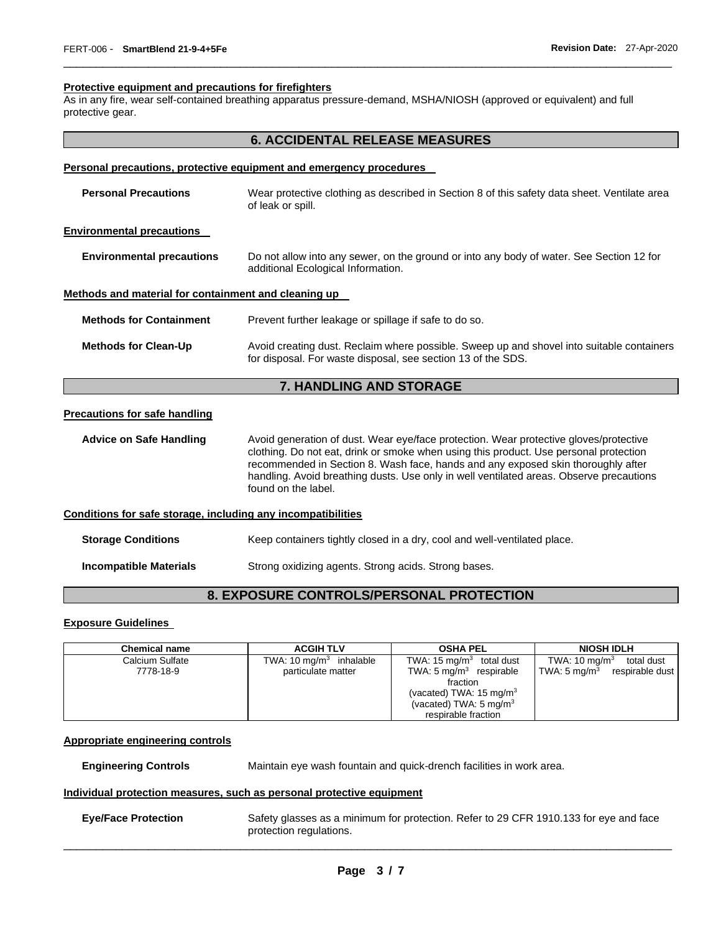## **Protective equipment and precautions for firefighters**

As in any fire, wear self-contained breathing apparatus pressure-demand, MSHA/NIOSH (approved or equivalent) and full protective gear.

## **6. ACCIDENTAL RELEASE MEASURES**

\_\_\_\_\_\_\_\_\_\_\_\_\_\_\_\_\_\_\_\_\_\_\_\_\_\_\_\_\_\_\_\_\_\_\_\_\_\_\_\_\_\_\_\_\_\_\_\_\_\_\_\_\_\_\_\_\_\_\_\_\_\_\_\_\_\_\_\_\_\_\_\_\_\_\_\_\_\_\_\_\_\_\_\_\_\_\_\_\_\_\_\_\_

#### **Personal precautions, protective equipment and emergency procedures**

| <b>Personal Precautions</b>                          | Wear protective clothing as described in Section 8 of this safety data sheet. Ventilate area<br>of leak or spill.                                         |  |  |
|------------------------------------------------------|-----------------------------------------------------------------------------------------------------------------------------------------------------------|--|--|
| <b>Environmental precautions</b>                     |                                                                                                                                                           |  |  |
| <b>Environmental precautions</b>                     | Do not allow into any sewer, on the ground or into any body of water. See Section 12 for<br>additional Ecological Information.                            |  |  |
| Methods and material for containment and cleaning up |                                                                                                                                                           |  |  |
| <b>Methods for Containment</b>                       | Prevent further leakage or spillage if safe to do so.                                                                                                     |  |  |
| <b>Methods for Clean-Up</b>                          | Avoid creating dust. Reclaim where possible. Sweep up and shovel into suitable containers<br>for disposal. For waste disposal, see section 13 of the SDS. |  |  |

# **7. HANDLING AND STORAGE**

## **Precautions for safe handling**

**Advice on Safe Handling** Avoid generation of dust. Wear eye/face protection. Wear protective gloves/protective clothing. Do not eat, drink or smoke when using this product. Use personal protection recommended in Section 8. Wash face, hands and any exposed skin thoroughly after handling. Avoid breathing dusts. Use only in well ventilated areas. Observe precautions found on the label.

## **Conditions for safe storage, including any incompatibilities**

| <b>Storage Conditions</b> | Keep containers tightly closed in a dry, cool and well-ventilated place. |
|---------------------------|--------------------------------------------------------------------------|
|                           |                                                                          |

**Incompatible Materials Strong oxidizing agents. Strong acids. Strong bases.** 

# **8. EXPOSURE CONTROLS/PERSONAL PROTECTION**

#### **Exposure Guidelines**

| <b>Chemical name</b> | <b>ACGIH TLV</b>          | <b>OSHA PEL</b>                      | <b>NIOSH IDLH</b>                          |
|----------------------|---------------------------|--------------------------------------|--------------------------------------------|
| Calcium Sulfate      | TWA: 10 $mg/m3$ inhalable | TWA: 15 mg/m <sup>3</sup> total dust | TWA: 10 mg/m $3$<br>total dust             |
| 7778-18-9            | particulate matter        | TWA: $5 \text{ mg/m}^3$ respirable   | TWA: $5 \text{ ma/m}^3$<br>respirable dust |
|                      |                           | fraction                             |                                            |
|                      |                           | (vacated) TWA: $15 \text{ mg/m}^3$   |                                            |
|                      |                           | (vacated) TWA: $5 \text{ mg/m}^3$    |                                            |
|                      |                           | respirable fraction                  |                                            |

#### **Appropriate engineering controls**

**Engineering Controls** Maintain eye wash fountain and quick-drench facilities in work area.

#### **Individual protection measures, such as personal protective equipment**

| <b>Eye/Face Protection</b> | Safety glasses as a minimum for protection. Refer to 29 CFR 1910.133 for eye and face<br>protection regulations. |
|----------------------------|------------------------------------------------------------------------------------------------------------------|
|                            |                                                                                                                  |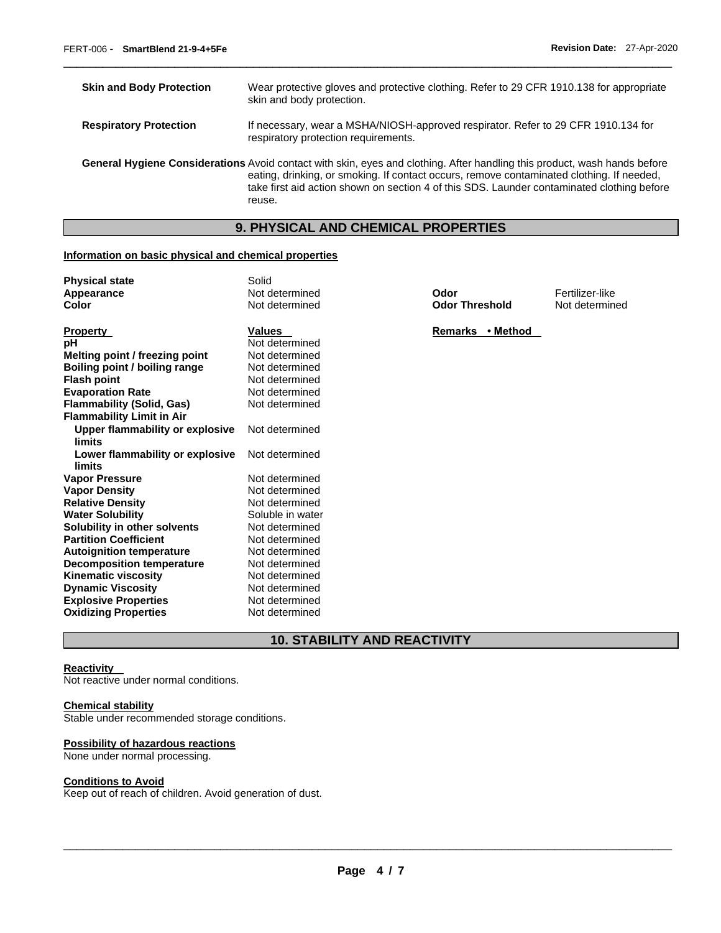| <b>Skin and Body Protection</b> | Wear protective gloves and protective clothing. Refer to 29 CFR 1910.138 for appropriate<br>skin and body protection.                                                                                                                                                                                                          |
|---------------------------------|--------------------------------------------------------------------------------------------------------------------------------------------------------------------------------------------------------------------------------------------------------------------------------------------------------------------------------|
| <b>Respiratory Protection</b>   | If necessary, wear a MSHA/NIOSH-approved respirator. Refer to 29 CFR 1910.134 for<br>respiratory protection requirements.                                                                                                                                                                                                      |
|                                 | General Hygiene Considerations Avoid contact with skin, eyes and clothing. After handling this product, wash hands before<br>eating, drinking, or smoking. If contact occurs, remove contaminated clothing. If needed,<br>take first aid action shown on section 4 of this SDS. Launder contaminated clothing before<br>reuse. |

\_\_\_\_\_\_\_\_\_\_\_\_\_\_\_\_\_\_\_\_\_\_\_\_\_\_\_\_\_\_\_\_\_\_\_\_\_\_\_\_\_\_\_\_\_\_\_\_\_\_\_\_\_\_\_\_\_\_\_\_\_\_\_\_\_\_\_\_\_\_\_\_\_\_\_\_\_\_\_\_\_\_\_\_\_\_\_\_\_\_\_\_\_

# **9. PHYSICAL AND CHEMICAL PROPERTIES**

## **Information on basic physical and chemical properties**

| <b>Physical state</b>            | Solid            |                       |                 |
|----------------------------------|------------------|-----------------------|-----------------|
| Appearance                       | Not determined   | Odor                  | Fertilizer-like |
| Color                            | Not determined   | <b>Odor Threshold</b> | Not determined  |
|                                  |                  |                       |                 |
| <b>Property</b>                  | <b>Values</b>    | Remarks • Method      |                 |
| pH                               | Not determined   |                       |                 |
| Melting point / freezing point   | Not determined   |                       |                 |
| Boiling point / boiling range    | Not determined   |                       |                 |
| <b>Flash point</b>               | Not determined   |                       |                 |
| <b>Evaporation Rate</b>          | Not determined   |                       |                 |
| <b>Flammability (Solid, Gas)</b> | Not determined   |                       |                 |
| <b>Flammability Limit in Air</b> |                  |                       |                 |
| Upper flammability or explosive  | Not determined   |                       |                 |
| limits                           |                  |                       |                 |
| Lower flammability or explosive  | Not determined   |                       |                 |
| limits                           |                  |                       |                 |
| <b>Vapor Pressure</b>            | Not determined   |                       |                 |
| <b>Vapor Density</b>             | Not determined   |                       |                 |
| <b>Relative Density</b>          | Not determined   |                       |                 |
| <b>Water Solubility</b>          | Soluble in water |                       |                 |
| Solubility in other solvents     | Not determined   |                       |                 |
| <b>Partition Coefficient</b>     | Not determined   |                       |                 |
| <b>Autoignition temperature</b>  | Not determined   |                       |                 |
| <b>Decomposition temperature</b> | Not determined   |                       |                 |
| <b>Kinematic viscosity</b>       | Not determined   |                       |                 |
| <b>Dynamic Viscosity</b>         | Not determined   |                       |                 |
| <b>Explosive Properties</b>      | Not determined   |                       |                 |
| <b>Oxidizing Properties</b>      | Not determined   |                       |                 |

**10. STABILITY AND REACTIVITY** 

## **Reactivity**

Not reactive under normal conditions.

# **Chemical stability**

Stable under recommended storage conditions.

## **Possibility of hazardous reactions**

None under normal processing.

#### **Conditions to Avoid**

Keep out of reach of children. Avoid generation of dust.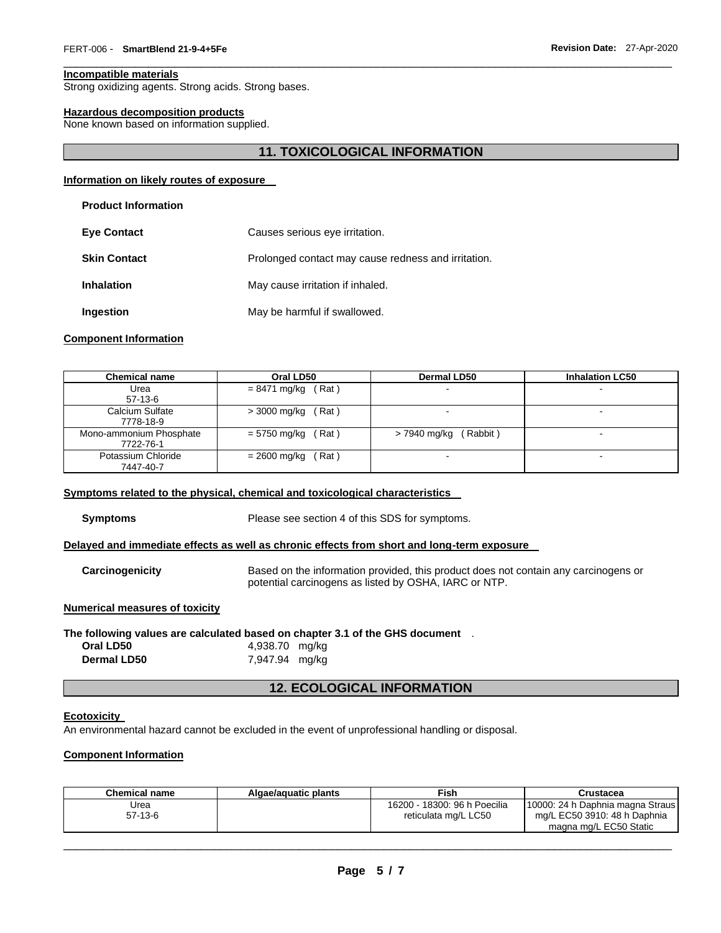## **Incompatible materials**

Strong oxidizing agents. Strong acids. Strong bases.

## **Hazardous decomposition products**

None known based on information supplied.

## **11. TOXICOLOGICAL INFORMATION**

\_\_\_\_\_\_\_\_\_\_\_\_\_\_\_\_\_\_\_\_\_\_\_\_\_\_\_\_\_\_\_\_\_\_\_\_\_\_\_\_\_\_\_\_\_\_\_\_\_\_\_\_\_\_\_\_\_\_\_\_\_\_\_\_\_\_\_\_\_\_\_\_\_\_\_\_\_\_\_\_\_\_\_\_\_\_\_\_\_\_\_\_\_

## **Information on likely routes of exposure**

| <b>Eye Contact</b>  | Causes serious eye irritation.                      |  |
|---------------------|-----------------------------------------------------|--|
| <b>Skin Contact</b> | Prolonged contact may cause redness and irritation. |  |
| <b>Inhalation</b>   | May cause irritation if inhaled.                    |  |
| Ingestion           | May be harmful if swallowed.                        |  |

#### **Component Information**

| <b>Chemical name</b>                 | Oral LD50             | <b>Dermal LD50</b>       | <b>Inhalation LC50</b> |
|--------------------------------------|-----------------------|--------------------------|------------------------|
| Urea<br>$57-13-6$                    | (Rat)<br>= 8471 mg/kg | -                        | -                      |
| Calcium Sulfate<br>7778-18-9         | > 3000 mg/kg<br>(Rat) |                          | -                      |
| Mono-ammonium Phosphate<br>7722-76-1 | = 5750 mg/kg<br>(Rat) | > 7940 mg/kg<br>(Rabbit) | ۰                      |
| Potassium Chloride<br>7447-40-7      | = 2600 mg/kg<br>(Rat) |                          | -                      |

## **Symptoms related to the physical, chemical and toxicological characteristics**

**Symptoms** Please see section 4 of this SDS for symptoms.

## **Delayed and immediate effects as well as chronic effects from short and long-term exposure**

**Carcinogenicity** Based on the information provided, this product does not contain any carcinogens or potential carcinogens as listed by OSHA, IARC or NTP.

#### **Numerical measures of toxicity**

## **The following values are calculated based on chapter 3.1 of the GHS document** .

| Oral LD50          | 4,938.70 mg/kg |  |
|--------------------|----------------|--|
| <b>Dermal LD50</b> | 7,947.94 mg/kg |  |

## **12. ECOLOGICAL INFORMATION**

#### **Ecotoxicity**

An environmental hazard cannot be excluded in the event of unprofessional handling or disposal.

## **Component Information**

| Chemical name | Algae/aguatic plants | Fish                         | Crustacea                          |
|---------------|----------------------|------------------------------|------------------------------------|
| Jrea          |                      | 16200 - 18300: 96 h Poecilia | [10000: 24 h Daphnia magna Straus] |
| 57-13-6       |                      | reticulata mg/L LC50         | mg/L EC50 3910: 48 h Daphnia       |
|               |                      |                              | magna mg/L EC50 Static             |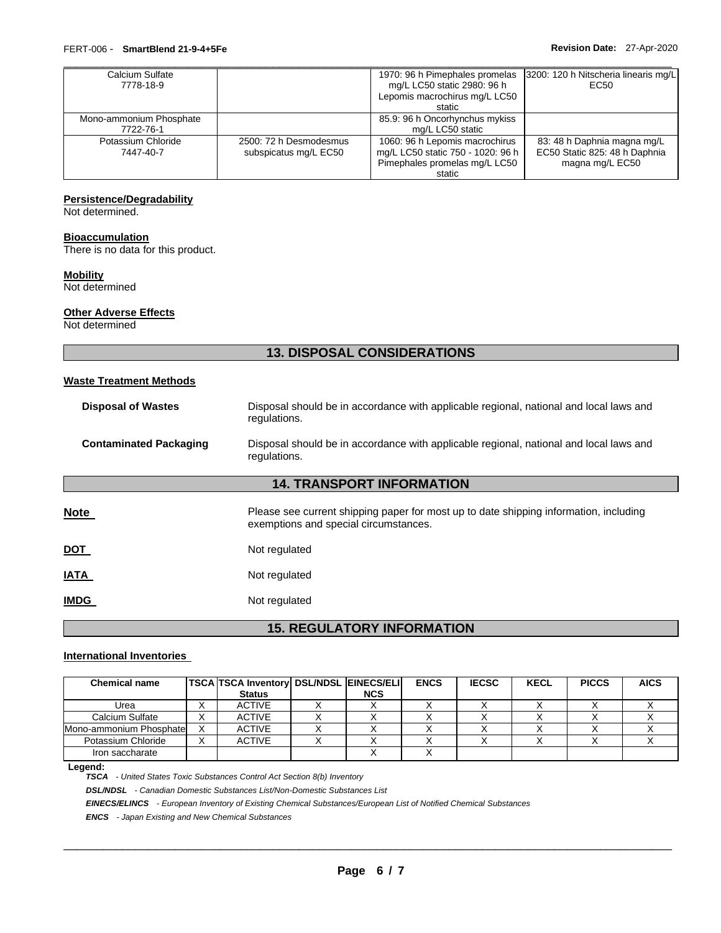| Calcium Sulfate         |                        | 1970: 96 h Pimephales promelas    | 3200: 120 h Nitscheria linearis mg/L |
|-------------------------|------------------------|-----------------------------------|--------------------------------------|
| 7778-18-9               |                        | mg/L LC50 static 2980: 96 h       | EC50                                 |
|                         |                        | Lepomis macrochirus mg/L LC50     |                                      |
|                         |                        | static                            |                                      |
| Mono-ammonium Phosphate |                        | 85.9: 96 h Oncorhynchus mykiss    |                                      |
| 7722-76-1               |                        | mg/L LC50 static                  |                                      |
| Potassium Chloride      | 2500: 72 h Desmodesmus | 1060: 96 h Lepomis macrochirus    | 83: 48 h Daphnia magna mg/L          |
| 7447-40-7               | subspicatus mg/L EC50  | mg/L LC50 static 750 - 1020: 96 h | EC50 Static 825: 48 h Daphnia        |
|                         |                        | Pimephales promelas mg/L LC50     | magna mg/L EC50                      |
|                         |                        | static                            |                                      |

\_\_\_\_\_\_\_\_\_\_\_\_\_\_\_\_\_\_\_\_\_\_\_\_\_\_\_\_\_\_\_\_\_\_\_\_\_\_\_\_\_\_\_\_\_\_\_\_\_\_\_\_\_\_\_\_\_\_\_\_\_\_\_\_\_\_\_\_\_\_\_\_\_\_\_\_\_\_\_\_\_\_\_\_\_\_\_\_\_\_\_\_\_

## **Persistence/Degradability**

Not determined.

# **Bioaccumulation**

There is no data for this product.

## **Mobility**

Not determined

## **Other Adverse Effects**

Not determined

|                                | <b>13. DISPOSAL CONSIDERATIONS</b>                                                                                             |  |  |
|--------------------------------|--------------------------------------------------------------------------------------------------------------------------------|--|--|
| <b>Waste Treatment Methods</b> |                                                                                                                                |  |  |
| <b>Disposal of Wastes</b>      | Disposal should be in accordance with applicable regional, national and local laws and<br>regulations.                         |  |  |
| <b>Contaminated Packaging</b>  | Disposal should be in accordance with applicable regional, national and local laws and<br>regulations.                         |  |  |
|                                | <b>14. TRANSPORT INFORMATION</b>                                                                                               |  |  |
| Note                           | Please see current shipping paper for most up to date shipping information, including<br>exemptions and special circumstances. |  |  |
| DOT                            | Not regulated                                                                                                                  |  |  |
| IATA                           | Not regulated                                                                                                                  |  |  |
| <b>IMDG</b>                    | Not regulated                                                                                                                  |  |  |

**15. REGULATORY INFORMATION** 

## **International Inventories**

| <b>Chemical name</b>    | <b>TSCA TSCA Inventory DSL/NDSL EINECS/ELI</b><br><b>Status</b> | <b>NCS</b> | <b>ENCS</b> | <b>IECSC</b> | <b>KECL</b> | <b>PICCS</b> | <b>AICS</b> |
|-------------------------|-----------------------------------------------------------------|------------|-------------|--------------|-------------|--------------|-------------|
| Urea                    | <b>ACTIVE</b>                                                   |            |             |              |             |              |             |
| Calcium Sulfate         | <b>ACTIVE</b>                                                   |            |             |              |             |              |             |
| Mono-ammonium Phosphate | <b>ACTIVE</b>                                                   |            |             |              |             |              |             |
| Potassium Chloride      | <b>ACTIVE</b>                                                   |            |             |              |             |              |             |
| Iron saccharate         |                                                                 |            |             |              |             |              |             |

#### **Legend:**

*TSCA - United States Toxic Substances Control Act Section 8(b) Inventory* 

*DSL/NDSL - Canadian Domestic Substances List/Non-Domestic Substances List* 

*EINECS/ELINCS - European Inventory of Existing Chemical Substances/European List of Notified Chemical Substances* 

*ENCS - Japan Existing and New Chemical Substances*